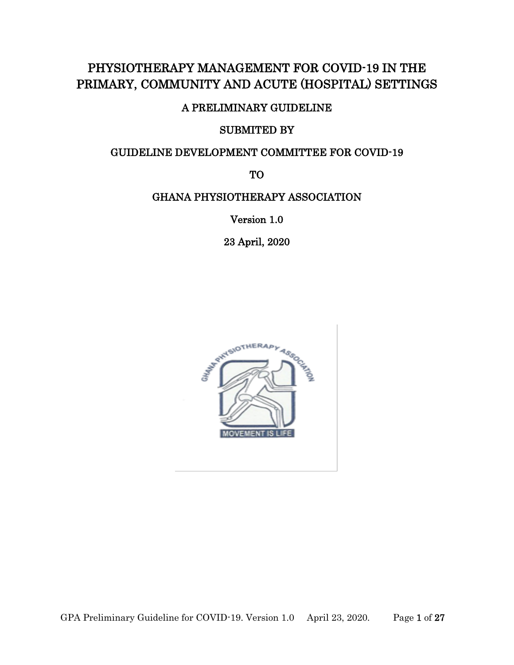# PHYSIOTHERAPY MANAGEMENT FOR COVID-19 IN THE PRIMARY, COMMUNITY AND ACUTE (HOSPITAL) SETTINGS

## A PRELIMINARY GUIDELINE

## SUBMITED BY

## GUIDELINE DEVELOPMENT COMMITTEE FOR COVID-19

TO

## GHANA PHYSIOTHERAPY ASSOCIATION

Version 1.0

23 April, 2020

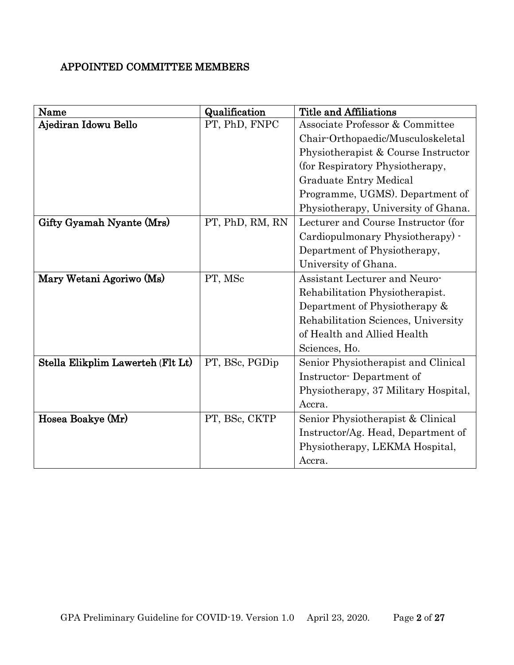# APPOINTED COMMITTEE MEMBERS

| Name                              | Qualification   | Title and Affiliations               |
|-----------------------------------|-----------------|--------------------------------------|
| Ajediran Idowu Bello              | PT, PhD, FNPC   | Associate Professor & Committee      |
|                                   |                 | Chair-Orthopaedic/Musculoskeletal    |
|                                   |                 | Physiotherapist & Course Instructor  |
|                                   |                 | (for Respiratory Physiotherapy,      |
|                                   |                 | <b>Graduate Entry Medical</b>        |
|                                   |                 | Programme, UGMS). Department of      |
|                                   |                 | Physiotherapy, University of Ghana.  |
| Gifty Gyamah Nyante (Mrs)         | PT, PhD, RM, RN | Lecturer and Course Instructor (for  |
|                                   |                 | Cardiopulmonary Physiotherapy) -     |
|                                   |                 | Department of Physiotherapy,         |
|                                   |                 | University of Ghana.                 |
| Mary Wetani Agoriwo (Ms)          | PT, MSc         | <b>Assistant Lecturer and Neuro-</b> |
|                                   |                 | Rehabilitation Physiotherapist.      |
|                                   |                 | Department of Physiotherapy &        |
|                                   |                 | Rehabilitation Sciences, University  |
|                                   |                 | of Health and Allied Health          |
|                                   |                 | Sciences, Ho.                        |
| Stella Elikplim Lawerteh (Flt Lt) | PT, BSc, PGDip  | Senior Physiotherapist and Clinical  |
|                                   |                 | Instructor-Department of             |
|                                   |                 | Physiotherapy, 37 Military Hospital, |
|                                   |                 | Accra.                               |
| Hosea Boakye (Mr)                 | PT, BSc, CKTP   | Senior Physiotherapist & Clinical    |
|                                   |                 | Instructor/Ag. Head, Department of   |
|                                   |                 | Physiotherapy, LEKMA Hospital,       |
|                                   |                 | Accra.                               |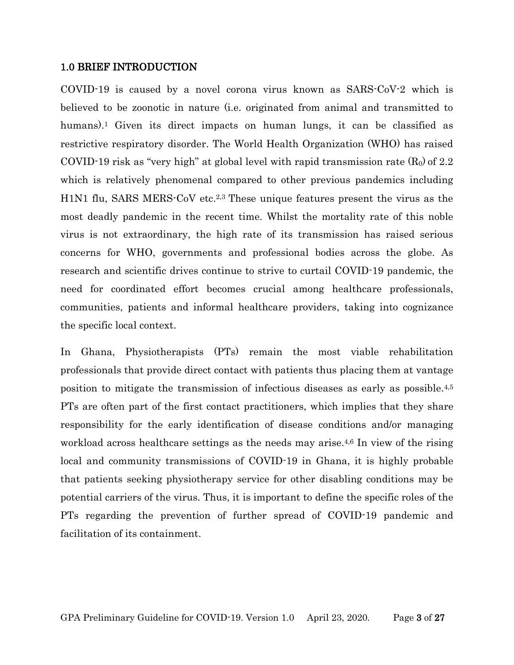### 1.0 BRIEF INTRODUCTION

COVID-19 is caused by a novel corona virus known as SARS-CoV-2 which is believed to be zoonotic in nature (i.e. originated from animal and transmitted to humans).<sup>1</sup> Given its direct impacts on human lungs, it can be classified as restrictive respiratory disorder. The World Health Organization (WHO) has raised COVID-19 risk as "very high" at global level with rapid transmission rate  $(R_0)$  of 2.2 which is relatively phenomenal compared to other previous pandemics including H1N1 flu, SARS MERS-CoV etc.2,3 These unique features present the virus as the most deadly pandemic in the recent time. Whilst the mortality rate of this noble virus is not extraordinary, the high rate of its transmission has raised serious concerns for WHO, governments and professional bodies across the globe. As research and scientific drives continue to strive to curtail COVID-19 pandemic, the need for coordinated effort becomes crucial among healthcare professionals, communities, patients and informal healthcare providers, taking into cognizance the specific local context.

In Ghana, Physiotherapists (PTs) remain the most viable rehabilitation professionals that provide direct contact with patients thus placing them at vantage position to mitigate the transmission of infectious diseases as early as possible. 4,5 PTs are often part of the first contact practitioners, which implies that they share responsibility for the early identification of disease conditions and/or managing workload across healthcare settings as the needs may arise.<sup>4,6</sup> In view of the rising local and community transmissions of COVID-19 in Ghana, it is highly probable that patients seeking physiotherapy service for other disabling conditions may be potential carriers of the virus. Thus, it is important to define the specific roles of the PTs regarding the prevention of further spread of COVID-19 pandemic and facilitation of its containment.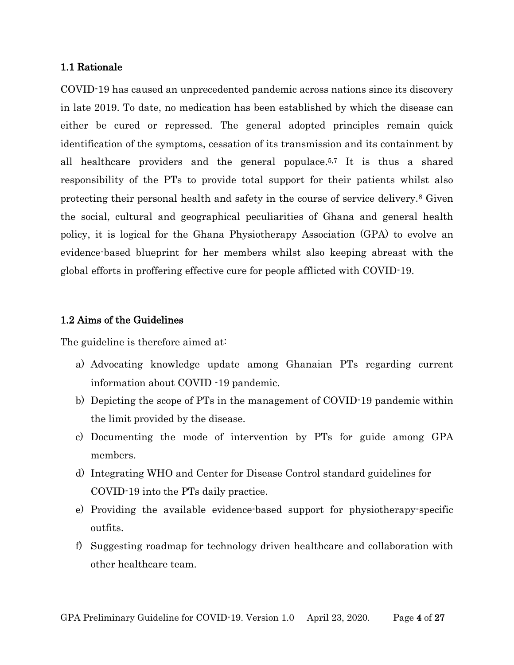#### 1.1 Rationale

COVID-19 has caused an unprecedented pandemic across nations since its discovery in late 2019. To date, no medication has been established by which the disease can either be cured or repressed. The general adopted principles remain quick identification of the symptoms, cessation of its transmission and its containment by all healthcare providers and the general populace. 5,7 It is thus a shared responsibility of the PTs to provide total support for their patients whilst also protecting their personal health and safety in the course of service delivery.<sup>8</sup> Given the social, cultural and geographical peculiarities of Ghana and general health policy, it is logical for the Ghana Physiotherapy Association (GPA) to evolve an evidence-based blueprint for her members whilst also keeping abreast with the global efforts in proffering effective cure for people afflicted with COVID-19.

### 1.2 Aims of the Guidelines

The guideline is therefore aimed at:

- a) Advocating knowledge update among Ghanaian PTs regarding current information about COVID -19 pandemic.
- b) Depicting the scope of PTs in the management of COVID-19 pandemic within the limit provided by the disease.
- c) Documenting the mode of intervention by PTs for guide among GPA members.
- d) Integrating WHO and Center for Disease Control standard guidelines for COVID-19 into the PTs daily practice.
- e) Providing the available evidence-based support for physiotherapy-specific outfits.
- f) Suggesting roadmap for technology driven healthcare and collaboration with other healthcare team.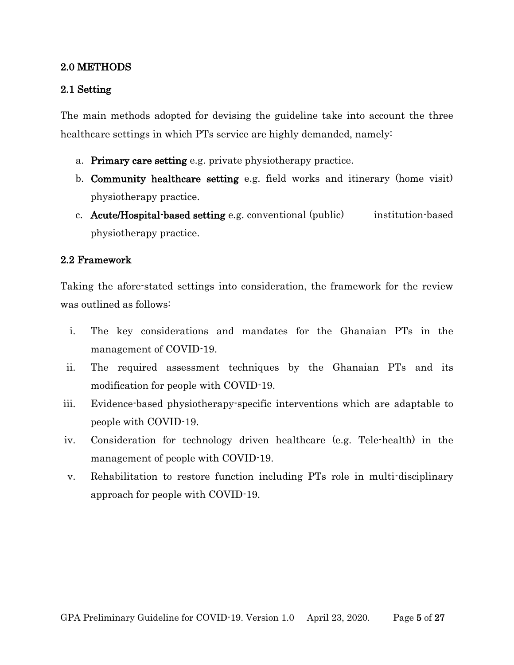## 2.0 METHODS

## 2.1 Setting

The main methods adopted for devising the guideline take into account the three healthcare settings in which PTs service are highly demanded, namely:

- a. Primary care setting e.g. private physiotherapy practice.
- b. Community healthcare setting e.g. field works and itinerary (home visit) physiotherapy practice.
- c. Acute/Hospital-based setting e.g. conventional (public) institution-based physiotherapy practice.

## 2.2 Framework

Taking the afore-stated settings into consideration, the framework for the review was outlined as follows:

- i. The key considerations and mandates for the Ghanaian PTs in the management of COVID-19.
- ii. The required assessment techniques by the Ghanaian PTs and its modification for people with COVID-19.
- iii. Evidence-based physiotherapy-specific interventions which are adaptable to people with COVID-19.
- iv. Consideration for technology driven healthcare (e.g. Tele-health) in the management of people with COVID-19.
- v. Rehabilitation to restore function including PTs role in multi-disciplinary approach for people with COVID-19.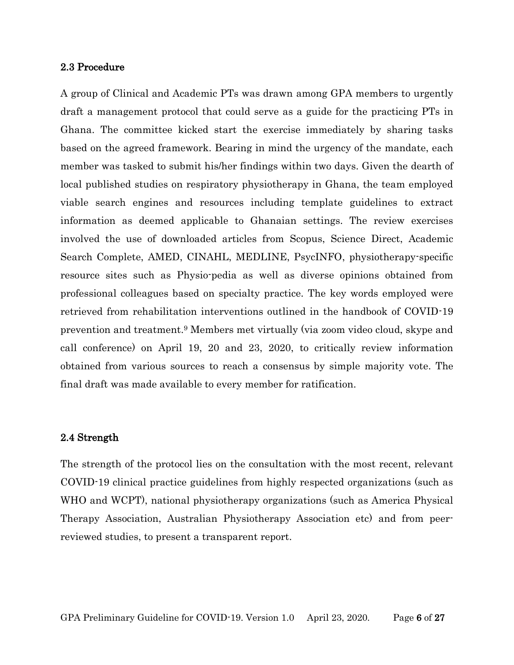#### 2.3 Procedure

A group of Clinical and Academic PTs was drawn among GPA members to urgently draft a management protocol that could serve as a guide for the practicing PTs in Ghana. The committee kicked start the exercise immediately by sharing tasks based on the agreed framework. Bearing in mind the urgency of the mandate, each member was tasked to submit his/her findings within two days. Given the dearth of local published studies on respiratory physiotherapy in Ghana, the team employed viable search engines and resources including template guidelines to extract information as deemed applicable to Ghanaian settings. The review exercises involved the use of downloaded articles from Scopus, Science Direct, Academic Search Complete, AMED, CINAHL, MEDLINE, PsycINFO, physiotherapy-specific resource sites such as Physio-pedia as well as diverse opinions obtained from professional colleagues based on specialty practice. The key words employed were retrieved from rehabilitation interventions outlined in the handbook of COVID-19 prevention and treatment.<sup>9</sup> Members met virtually (via zoom video cloud, skype and call conference) on April 19, 20 and 23, 2020, to critically review information obtained from various sources to reach a consensus by simple majority vote. The final draft was made available to every member for ratification.

#### 2.4 Strength

The strength of the protocol lies on the consultation with the most recent, relevant COVID-19 clinical practice guidelines from highly respected organizations (such as WHO and WCPT), national physiotherapy organizations (such as America Physical Therapy Association, Australian Physiotherapy Association etc) and from peerreviewed studies, to present a transparent report.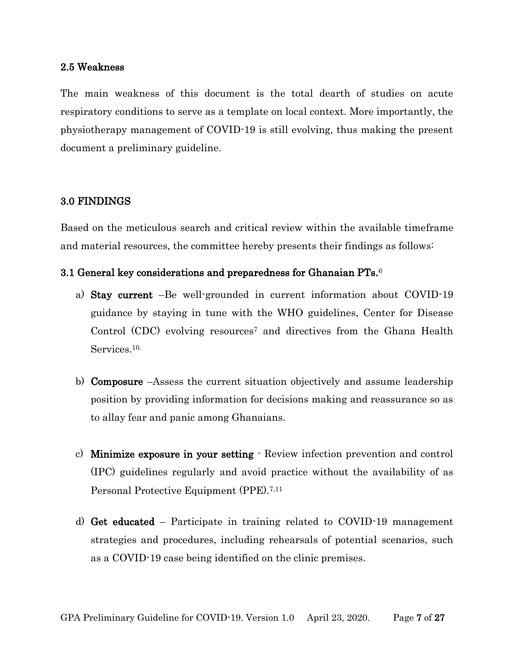#### 2.5 Weakness

The main weakness of this document is the total dearth of studies on acute respiratory conditions to serve as a template on local context. More importantly, the physiotherapy management of COVID-19 is still evolving, thus making the present document a preliminary guideline.

### 3.0 FINDINGS

Based on the meticulous search and critical review within the available timeframe and material resources, the committee hereby presents their findings as follows:

#### 3.1 General key considerations and preparedness for Ghanaian PTs. 6

- a) Stay current –Be well-grounded in current information about COVID-19 guidance by staying in tune with the WHO guidelines, Center for Disease Control (CDC) evolving resources<sup>7</sup> and directives from the Ghana Health Services. 10.
- b) Composure –Assess the current situation objectively and assume leadership position by providing information for decisions making and reassurance so as to allay fear and panic among Ghanaians.
- c) Minimize exposure in your setting Review infection prevention and control (IPC) guidelines regularly and avoid practice without the availability of as Personal Protective Equipment (PPE).7,11
- d) Get educated Participate in training related to COVID-19 management strategies and procedures, including rehearsals of potential scenarios, such as a COVID-19 case being identified on the clinic premises.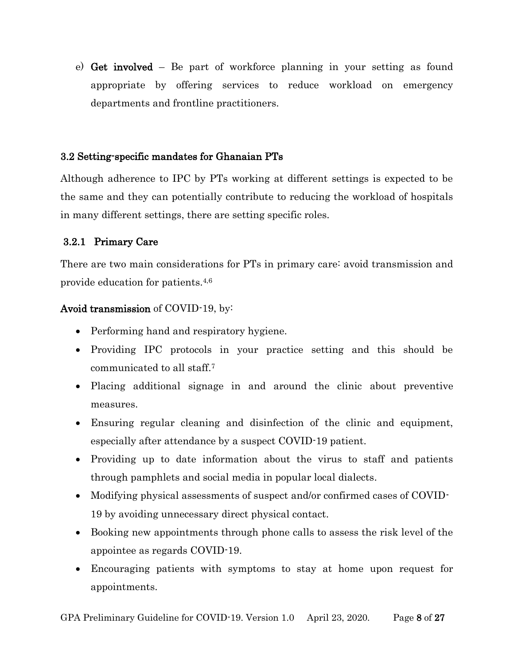e) Get involved – Be part of workforce planning in your setting as found appropriate by offering services to reduce workload on emergency departments and frontline practitioners.

## 3.2 Setting-specific mandates for Ghanaian PTs

Although adherence to IPC by PTs working at different settings is expected to be the same and they can potentially contribute to reducing the workload of hospitals in many different settings, there are setting specific roles.

## 3.2.1 Primary Care

There are two main considerations for PTs in primary care: avoid transmission and provide education for patients.4,6

## Avoid transmission of COVID-19, by:

- Performing hand and respiratory hygiene.
- Providing IPC protocols in your practice setting and this should be communicated to all staff.<sup>7</sup>
- Placing additional signage in and around the clinic about preventive measures.
- Ensuring regular cleaning and disinfection of the clinic and equipment, especially after attendance by a suspect COVID-19 patient.
- Providing up to date information about the virus to staff and patients through pamphlets and social media in popular local dialects.
- Modifying physical assessments of suspect and/or confirmed cases of COVID-19 by avoiding unnecessary direct physical contact.
- Booking new appointments through phone calls to assess the risk level of the appointee as regards COVID-19.
- Encouraging patients with symptoms to stay at home upon request for appointments.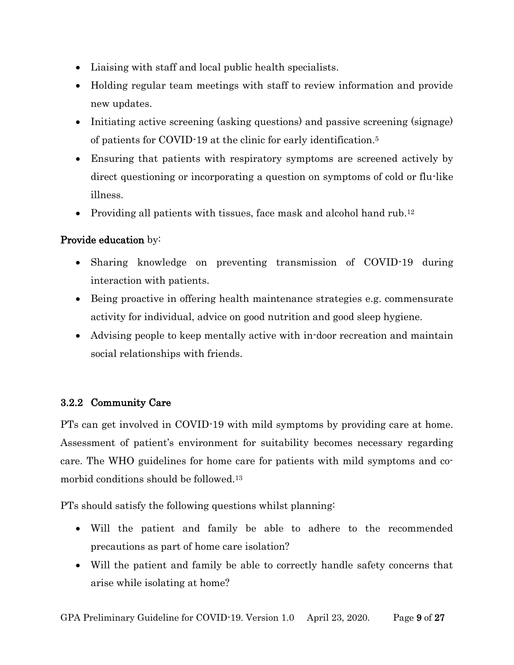- Liaising with staff and local public health specialists.
- Holding regular team meetings with staff to review information and provide new updates.
- Initiating active screening (asking questions) and passive screening (signage) of patients for COVID-19 at the clinic for early identification. 5
- Ensuring that patients with respiratory symptoms are screened actively by direct questioning or incorporating a question on symptoms of cold or flu-like illness.
- Providing all patients with tissues, face mask and alcohol hand rub.<sup>12</sup>

# Provide education by:

- Sharing knowledge on preventing transmission of COVID-19 during interaction with patients.
- Being proactive in offering health maintenance strategies e.g. commensurate activity for individual, advice on good nutrition and good sleep hygiene.
- Advising people to keep mentally active with in-door recreation and maintain social relationships with friends.

## 3.2.2 Community Care

PTs can get involved in COVID-19 with mild symptoms by providing care at home. Assessment of patient's environment for suitability becomes necessary regarding care. The WHO guidelines for home care for patients with mild symptoms and comorbid conditions should be followed. 13

PTs should satisfy the following questions whilst planning:

- Will the patient and family be able to adhere to the recommended precautions as part of home care isolation?
- Will the patient and family be able to correctly handle safety concerns that arise while isolating at home?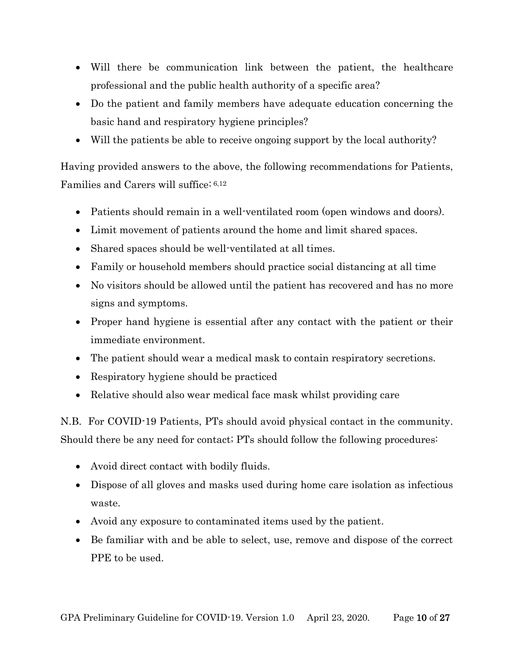- Will there be communication link between the patient, the healthcare professional and the public health authority of a specific area?
- Do the patient and family members have adequate education concerning the basic hand and respiratory hygiene principles?
- Will the patients be able to receive ongoing support by the local authority?

Having provided answers to the above, the following recommendations for Patients, Families and Carers will suffice: 6,12

- Patients should remain in a well-ventilated room (open windows and doors).
- Limit movement of patients around the home and limit shared spaces.
- Shared spaces should be well-ventilated at all times.
- Family or household members should practice social distancing at all time
- No visitors should be allowed until the patient has recovered and has no more signs and symptoms.
- Proper hand hygiene is essential after any contact with the patient or their immediate environment.
- The patient should wear a medical mask to contain respiratory secretions.
- Respiratory hygiene should be practiced
- Relative should also wear medical face mask whilst providing care

N.B. For COVID-19 Patients, PTs should avoid physical contact in the community. Should there be any need for contact; PTs should follow the following procedures:

- Avoid direct contact with bodily fluids.
- Dispose of all gloves and masks used during home care isolation as infectious waste.
- Avoid any exposure to contaminated items used by the patient.
- Be familiar with and be able to select, use, remove and dispose of the correct PPE to be used.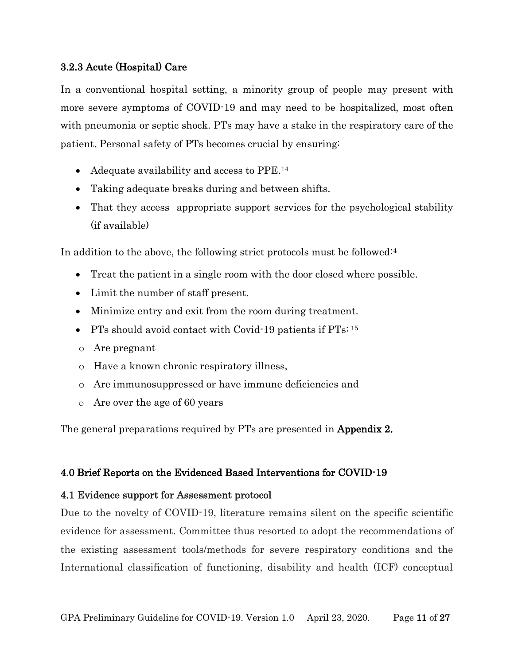## 3.2.3 Acute (Hospital) Care

In a conventional hospital setting, a minority group of people may present with more severe symptoms of COVID-19 and may need to be hospitalized, most often with pneumonia or septic shock. PTs may have a stake in the respiratory care of the patient. Personal safety of PTs becomes crucial by ensuring:

- Adequate availability and access to PPE.<sup>14</sup>
- Taking adequate breaks during and between shifts.
- That they access appropriate support services for the psychological stability (if available)

In addition to the above, the following strict protocols must be followed:<sup>4</sup>

- Treat the patient in a single room with the door closed where possible.
- Limit the number of staff present.
- Minimize entry and exit from the room during treatment.
- PTs should avoid contact with Covid-19 patients if PTs: 15
- o Are pregnant
- o Have a known chronic respiratory illness,
- o Are immunosuppressed or have immune deficiencies and
- o Are over the age of 60 years

The general preparations required by PTs are presented in **Appendix 2.** 

## 4.0 Brief Reports on the Evidenced Based Interventions for COVID-19

## 4.1 Evidence support for Assessment protocol

Due to the novelty of COVID-19, literature remains silent on the specific scientific evidence for assessment. Committee thus resorted to adopt the recommendations of the existing assessment tools/methods for severe respiratory conditions and the International classification of functioning, disability and health (ICF) conceptual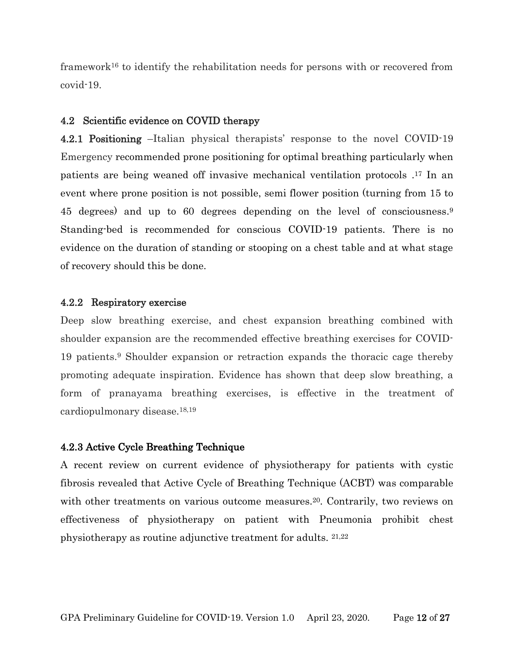framework<sup>16</sup> to identify the rehabilitation needs for persons with or recovered from covid-19.

#### 4.2 Scientific evidence on COVID therapy

4.2.1 Positioning –Italian physical therapists' response to the novel COVID-19 Emergency recommended prone positioning for optimal breathing particularly when patients are being weaned off invasive mechanical ventilation protocols . <sup>17</sup> In an event where prone position is not possible, semi flower position (turning from 15 to 45 degrees) and up to 60 degrees depending on the level of consciousness. 9 Standing-bed is recommended for conscious COVID-19 patients. There is no evidence on the duration of standing or stooping on a chest table and at what stage of recovery should this be done.

#### 4.2.2 Respiratory exercise

Deep slow breathing exercise, and chest expansion breathing combined with shoulder expansion are the recommended effective breathing exercises for COVID-19 patients.<sup>9</sup> Shoulder expansion or retraction expands the thoracic cage thereby promoting adequate inspiration. Evidence has shown that deep slow breathing, a form of pranayama breathing exercises, is effective in the treatment of cardiopulmonary disease.18,19

#### 4.2.3 Active Cycle Breathing Technique

A recent review on current evidence of physiotherapy for patients with cystic fibrosis revealed that Active Cycle of Breathing Technique (ACBT) was comparable with other treatments on various outcome measures.<sup>20</sup>. Contrarily, two reviews on effectiveness of physiotherapy on patient with Pneumonia prohibit chest physiotherapy as routine adjunctive treatment for adults. 21,22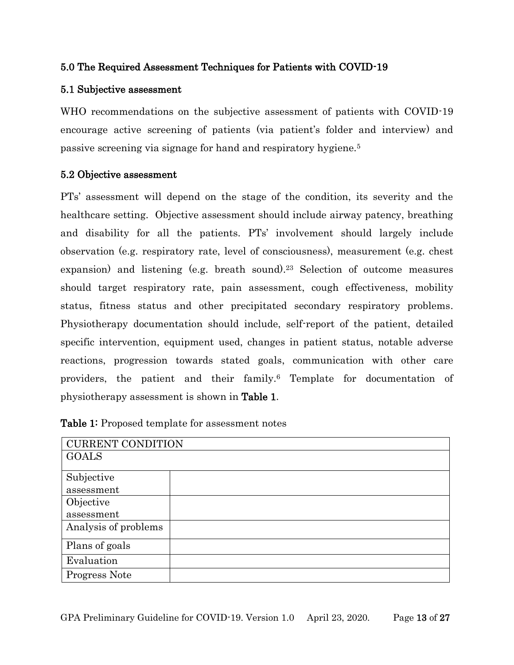## 5.0 The Required Assessment Techniques for Patients with COVID-19

## 5.1 Subjective assessment

WHO recommendations on the subjective assessment of patients with COVID-19 encourage active screening of patients (via patient's folder and interview) and passive screening via signage for hand and respiratory hygiene.<sup>5</sup>

## 5.2 Objective assessment

PTs' assessment will depend on the stage of the condition, its severity and the healthcare setting. Objective assessment should include airway patency, breathing and disability for all the patients. PTs' involvement should largely include observation (e.g. respiratory rate, level of consciousness), measurement (e.g. chest expansion) and listening (e.g. breath sound). <sup>23</sup> Selection of outcome measures should target respiratory rate, pain assessment, cough effectiveness, mobility status, fitness status and other precipitated secondary respiratory problems. Physiotherapy documentation should include, self-report of the patient, detailed specific intervention, equipment used, changes in patient status, notable adverse reactions, progression towards stated goals, communication with other care providers, the patient and their family. <sup>6</sup> Template for documentation of physiotherapy assessment is shown in Table 1.

| <b>CURRENT CONDITION</b> |
|--------------------------|
| <b>GOALS</b>             |
|                          |
| Subjective               |
| assessment               |
| Objective                |
| assessment               |
| Analysis of problems     |
| Plans of goals           |
| Evaluation               |
| Progress Note            |

Table 1: Proposed template for assessment notes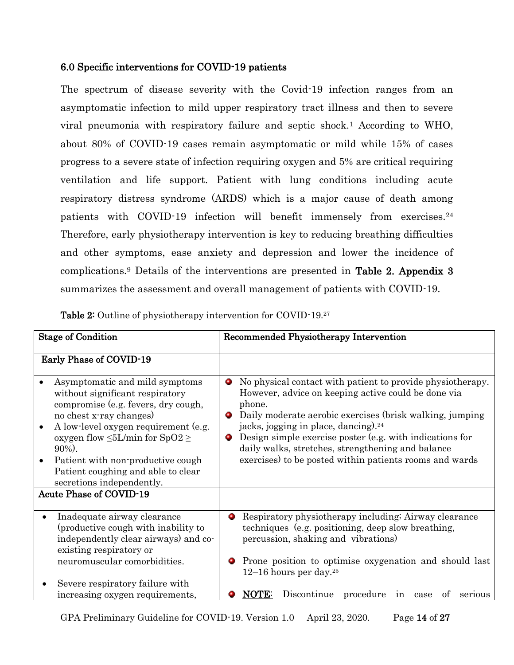## 6.0 Specific interventions for COVID-19 patients

The spectrum of disease severity with the Covid-19 infection ranges from an asymptomatic infection to mild upper respiratory tract illness and then to severe viral pneumonia with respiratory failure and septic shock.<sup>1</sup> According to WHO, about 80% of COVID-19 cases remain asymptomatic or mild while 15% of cases progress to a severe state of infection requiring oxygen and 5% are critical requiring ventilation and life support. Patient with lung conditions including acute respiratory distress syndrome (ARDS) which is a major cause of death among patients with COVID-19 infection will benefit immensely from exercises.<sup>24</sup> Therefore, early physiotherapy intervention is key to reducing breathing difficulties and other symptoms, ease anxiety and depression and lower the incidence of complications.<sup>9</sup> Details of the interventions are presented in Table 2. Appendix 3 summarizes the assessment and overall management of patients with COVID-19.

Table 2: Outline of physiotherapy intervention for COVID-19.<sup>27</sup>

| <b>Stage of Condition</b>                                                                                                                                                                                                                                                                                                                                                        | Recommended Physiotherapy Intervention                                                                                                                                                                                                                                                                                                                                                                                                   |
|----------------------------------------------------------------------------------------------------------------------------------------------------------------------------------------------------------------------------------------------------------------------------------------------------------------------------------------------------------------------------------|------------------------------------------------------------------------------------------------------------------------------------------------------------------------------------------------------------------------------------------------------------------------------------------------------------------------------------------------------------------------------------------------------------------------------------------|
| Early Phase of COVID-19                                                                                                                                                                                                                                                                                                                                                          |                                                                                                                                                                                                                                                                                                                                                                                                                                          |
| Asymptomatic and mild symptoms<br>without significant respiratory<br>compromise (e.g. fevers, dry cough,<br>no chest x-ray changes)<br>A low-level oxygen requirement (e.g.<br>oxygen flow $\leq 5$ L/min for SpO2 $\geq$<br>$90\%$ ).<br>Patient with non-productive cough<br>Patient coughing and able to clear<br>secretions independently.<br><b>Acute Phase of COVID-19</b> | No physical contact with patient to provide physiotherapy.<br>۰<br>However, advice on keeping active could be done via<br>phone.<br>Daily moderate aerobic exercises (brisk walking, jumping<br>О.<br>jacks, jogging in place, dancing). <sup>24</sup><br>Design simple exercise poster (e.g. with indications for<br>О.<br>daily walks, stretches, strengthening and balance<br>exercises) to be posted within patients rooms and wards |
|                                                                                                                                                                                                                                                                                                                                                                                  |                                                                                                                                                                                                                                                                                                                                                                                                                                          |
| Inadequate airway clearance<br>(productive cough with inability to<br>independently clear airways) and co-<br>existing respiratory or<br>neuromuscular comorbidities.                                                                                                                                                                                                            | Respiratory physiotherapy including; Airway clearance<br>о.<br>techniques (e.g. positioning, deep slow breathing,<br>percussion, shaking and vibrations)<br>Prone position to optimise oxygenation and should last<br>12–16 hours per day. <sup>25</sup>                                                                                                                                                                                 |
| Severe respiratory failure with<br>increasing oxygen requirements,                                                                                                                                                                                                                                                                                                               | Discontinue<br>procedure<br>NOTE:<br>in<br>case<br>of<br>serious                                                                                                                                                                                                                                                                                                                                                                         |

GPA Preliminary Guideline for COVID-19. Version 1.0 April 23, 2020. Page 14 of 27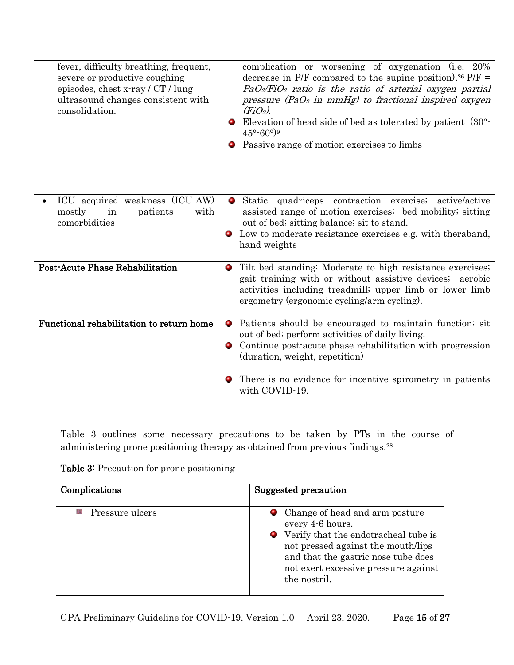| fever, difficulty breathing, frequent,<br>severe or productive coughing<br>episodes, chest x-ray / CT / lung<br>ultrasound changes consistent with<br>consolidation. | complication or worsening of oxygenation (i.e. 20%)<br>decrease in P/F compared to the supine position). <sup>26</sup> P/F =<br>$PaO2/FiO2$ ratio is the ratio of arterial oxygen partial<br>pressure (PaO <sub>2</sub> in mmHg) to fractional inspired oxygen<br>$(FiO2)$ .<br>Elevation of head side of bed as tolerated by patient $(30^{\circ}$<br>$45^{\circ} - 60^{\circ}$ ) <sup>9</sup><br>Passive range of motion exercises to limbs |
|----------------------------------------------------------------------------------------------------------------------------------------------------------------------|-----------------------------------------------------------------------------------------------------------------------------------------------------------------------------------------------------------------------------------------------------------------------------------------------------------------------------------------------------------------------------------------------------------------------------------------------|
| ICU acquired weakness (ICU-AW)<br>mostly<br>with<br>in<br>patients<br>comorbidities                                                                                  | Static quadriceps contraction exercise; active/active<br>assisted range of motion exercises; bed mobility; sitting<br>out of bed; sitting balance; sit to stand.<br>Low to moderate resistance exercises e.g. with the raband,<br>۰<br>hand weights                                                                                                                                                                                           |
| <b>Post-Acute Phase Rehabilitation</b>                                                                                                                               | Tilt bed standing; Moderate to high resistance exercises;<br>۰<br>gait training with or without assistive devices; aerobic<br>activities including treadmill; upper limb or lower limb<br>ergometry (ergonomic cycling/arm cycling).                                                                                                                                                                                                          |
| Functional rehabilitation to return home                                                                                                                             | • Patients should be encouraged to maintain function; sit<br>out of bed; perform activities of daily living.<br>Continue post-acute phase rehabilitation with progression<br>۰<br>(duration, weight, repetition)                                                                                                                                                                                                                              |
|                                                                                                                                                                      | There is no evidence for incentive spirometry in patients<br>۰<br>with COVID-19.                                                                                                                                                                                                                                                                                                                                                              |

Table 3 outlines some necessary precautions to be taken by PTs in the course of administering prone positioning therapy as obtained from previous findings. 28

| Table 3: Precaution for prone positioning |  |  |
|-------------------------------------------|--|--|
|-------------------------------------------|--|--|

| Complications   | Suggested precaution                                                                                                                                                                                                                |
|-----------------|-------------------------------------------------------------------------------------------------------------------------------------------------------------------------------------------------------------------------------------|
| Pressure ulcers | • Change of head and arm posture<br>every 4-6 hours.<br>• Verify that the endotracheal tube is<br>not pressed against the mouth/lips<br>and that the gastric nose tube does<br>not exert excessive pressure against<br>the nostril. |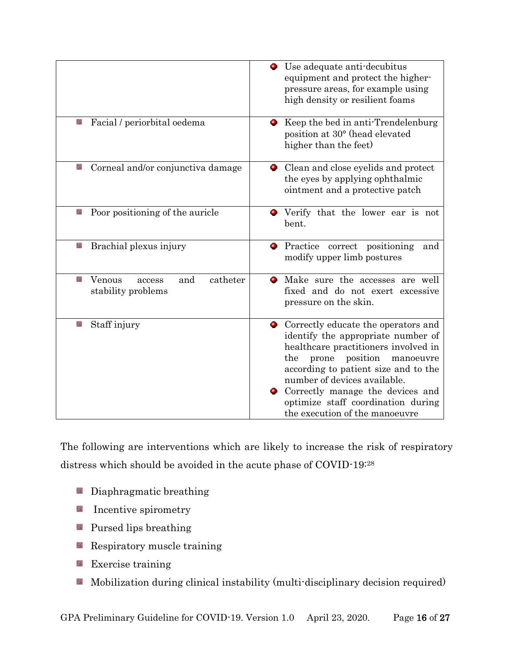|                                                                 | • Use adequate anti-decubitus<br>equipment and protect the higher-<br>pressure areas, for example using<br>high density or resilient foams                                                                                                                                                                                                       |
|-----------------------------------------------------------------|--------------------------------------------------------------------------------------------------------------------------------------------------------------------------------------------------------------------------------------------------------------------------------------------------------------------------------------------------|
| Facial / periorbital oedema                                     | Keep the bed in anti-Trendelenburg<br>О.<br>position at 30° (head elevated<br>higher than the feet)                                                                                                                                                                                                                                              |
| Corneal and/or conjunctiva damage<br>£,                         | • Clean and close eyelids and protect<br>the eyes by applying ophthalmic<br>ointment and a protective patch                                                                                                                                                                                                                                      |
| Poor positioning of the auricle                                 | Verify that the lower ear is not<br>о.<br>bent.                                                                                                                                                                                                                                                                                                  |
| Brachial plexus injury<br>£,                                    | Practice correct positioning<br>۰<br>and<br>modify upper limb postures                                                                                                                                                                                                                                                                           |
| catheter<br>Ø.<br>Venous<br>and<br>access<br>stability problems | Make sure the accesses are well<br>fixed and do not exert excessive<br>pressure on the skin.                                                                                                                                                                                                                                                     |
| Staff injury                                                    | • Correctly educate the operators and<br>identify the appropriate number of<br>healthcare practitioners involved in<br>the<br>position<br>prone<br>manoeuvre<br>according to patient size and to the<br>number of devices available.<br>Correctly manage the devices and<br>optimize staff coordination during<br>the execution of the manoeuvre |

The following are interventions which are likely to increase the risk of respiratory distress which should be avoided in the acute phase of COVID-19:<sup>28</sup>

- **Diaphragmatic breathing**
- Ø. Incentive spirometry
- **Pursed lips breathing**
- **Respiratory muscle training**
- **EXECUTE:** Exercise training
- **Mobilization during clinical instability (multi-disciplinary decision required)**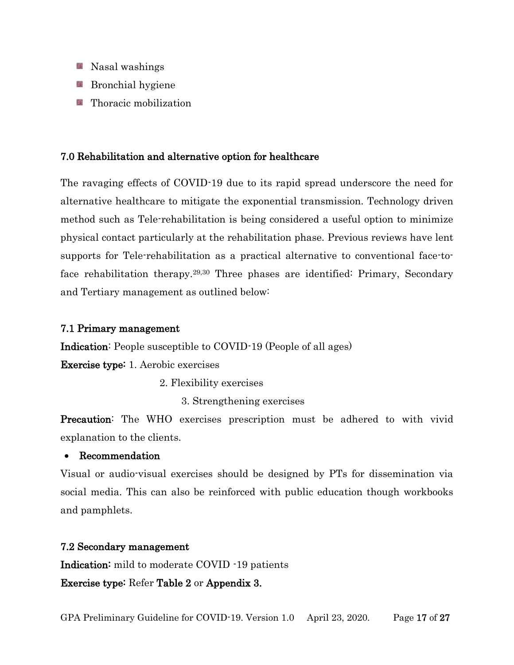- **Nasal washings**
- **Bronchial hygiene**
- $\blacksquare$  Thoracic mobilization

## 7.0 Rehabilitation and alternative option for healthcare

The ravaging effects of COVID-19 due to its rapid spread underscore the need for alternative healthcare to mitigate the exponential transmission. Technology driven method such as Tele-rehabilitation is being considered a useful option to minimize physical contact particularly at the rehabilitation phase. Previous reviews have lent supports for Tele-rehabilitation as a practical alternative to conventional face-toface rehabilitation therapy.<sup>29,30</sup> Three phases are identified: Primary, Secondary and Tertiary management as outlined below:

### 7.1 Primary management

Indication: People susceptible to COVID-19 (People of all ages)

Exercise type: 1. Aerobic exercises

2. Flexibility exercises

3. Strengthening exercises

**Precaution:** The WHO exercises prescription must be adhered to with vivid explanation to the clients.

## Recommendation

Visual or audio-visual exercises should be designed by PTs for dissemination via social media. This can also be reinforced with public education though workbooks and pamphlets.

## 7.2 Secondary management

Indication: mild to moderate COVID -19 patients

Exercise type: Refer Table 2 or Appendix 3.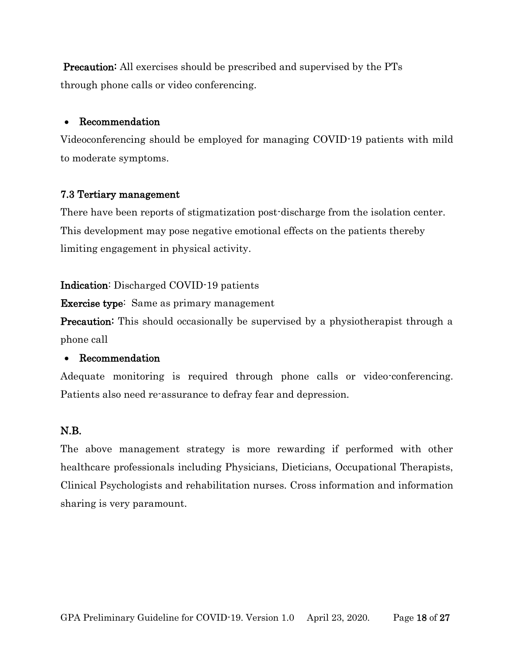**Precaution:** All exercises should be prescribed and supervised by the PTs through phone calls or video conferencing.

### Recommendation

Videoconferencing should be employed for managing COVID-19 patients with mild to moderate symptoms.

## 7.3 Tertiary management

There have been reports of stigmatization post-discharge from the isolation center. This development may pose negative emotional effects on the patients thereby limiting engagement in physical activity.

### Indication: Discharged COVID-19 patients

Exercise type: Same as primary management

**Precaution:** This should occasionally be supervised by a physiotherapist through a phone call

## Recommendation

Adequate monitoring is required through phone calls or video-conferencing. Patients also need re-assurance to defray fear and depression.

## N.B.

The above management strategy is more rewarding if performed with other healthcare professionals including Physicians, Dieticians, Occupational Therapists, Clinical Psychologists and rehabilitation nurses. Cross information and information sharing is very paramount.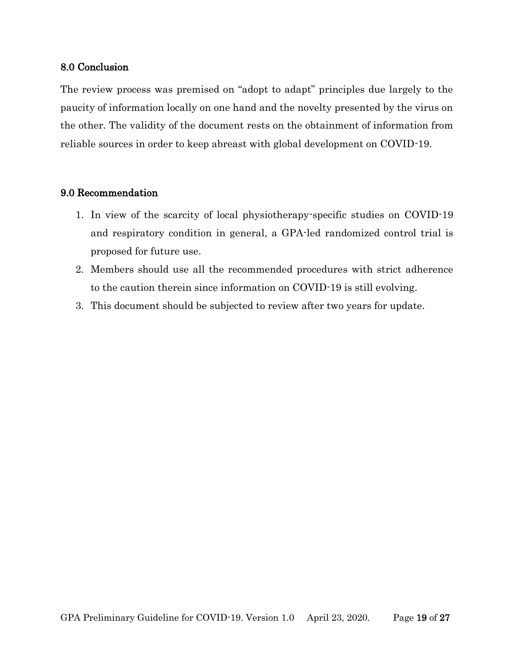### 8.0 Conclusion

The review process was premised on "adopt to adapt" principles due largely to the paucity of information locally on one hand and the novelty presented by the virus on the other. The validity of the document rests on the obtainment of information from reliable sources in order to keep abreast with global development on COVID-19.

### 9.0 Recommendation

- 1. In view of the scarcity of local physiotherapy-specific studies on COVID-19 and respiratory condition in general, a GPA-led randomized control trial is proposed for future use.
- 2. Members should use all the recommended procedures with strict adherence to the caution therein since information on COVID-19 is still evolving.
- 3. This document should be subjected to review after two years for update.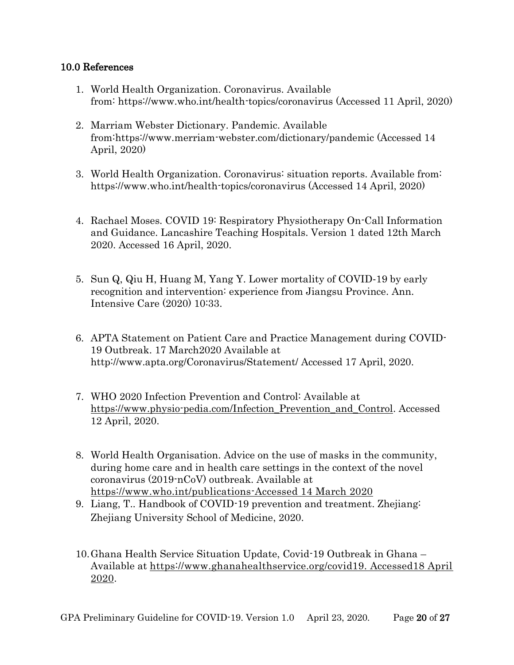## 10.0 References

- 1. World Health Organization. Coronavirus. Available from: https://www.who.int/health-topics/coronavirus (Accessed 11 April, 2020)
- 2. Marriam Webster Dictionary. Pandemic. Available from[:https://www.merriam-webster.com/dictionary/pandemic](https://www.merriam-webster.com/dictionary/pandemic) (Accessed 14 April, 2020)
- 3. World Health Organization. Coronavirus: situation reports. Available from: https://www.who.int/health-topics/coronavirus (Accessed 14 April, 2020)
- 4. Rachael Moses. COVID 19: Respiratory Physiotherapy On-Call Information and Guidance. Lancashire Teaching Hospitals. Version 1 dated 12th March 2020. Accessed 16 April, 2020.
- 5. Sun Q, Qiu H, Huang M, Yang Y. Lower mortality of COVID‑19 by early recognition and intervention: experience from Jiangsu Province. Ann. Intensive Care (2020) 10:33.
- 6. APTA Statement on Patient Care and Practice Management during COVID-19 Outbreak. 17 March2020 Available at http://www.apta.org/Coronavirus/Statement/ Accessed 17 April, 2020.
- 7. WHO 2020 Infection Prevention and Control: Available at [https://www.physio-pedia.com/Infection\\_Prevention\\_and\\_Control.](https://www.physio-pedia.com/Infection_Prevention_and_Control) Accessed 12 April, 2020.
- 8. World Health Organisation. Advice on the use of masks in the community, during home care and in health care settings in the context of the novel coronavirus (2019-nCoV) outbreak. Available at [https://www.who.int/publications-Accessed 14 March 2020](https://www.who.int/publications-Accessed%2014%20March%202020)
- 9. Liang, T.. Handbook of COVID-19 prevention and treatment. Zhejiang: Zhejiang University School of Medicine, 2020.
- 10.Ghana Health Service Situation Update, Covid-19 Outbreak in Ghana Available at [https://www.ghanahealthservice.org/covid19. Accessed18 April](https://www.ghanahealthservice.org/covid19.%20Accessed18%20April%202020)  [2020.](https://www.ghanahealthservice.org/covid19.%20Accessed18%20April%202020)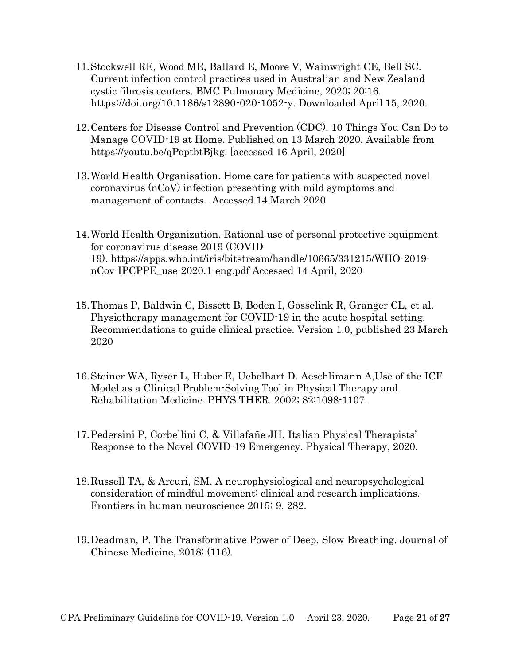- 11.Stockwell RE, Wood ME, Ballard E, Moore V, Wainwright CE, Bell SC. Current infection control practices used in Australian and New Zealand cystic fibrosis centers. BMC Pulmonary Medicine, 2020; 20:16. [https://doi.org/10.1186/s12890-020-1052-y.](https://doi.org/10.1186/s12890-020-1052-y) Downloaded April 15, 2020.
- 12.Centers for Disease Control and Prevention (CDC). 10 Things You Can Do to Manage COVID-19 at Home. Published on 13 March 2020. Available from https://youtu.be/qPoptbtBjkg. [accessed 16 April, 2020]
- 13.World Health Organisation. Home care for patients with suspected novel coronavirus (nCoV) infection presenting with mild symptoms and management of contacts. Accessed 14 March 2020
- 14.World Health Organization. Rational use of personal protective equipment for coronavirus disease 2019 (COVID 19). [https://apps.who.int/iris/bitstream/handle/10665/331215/WHO-2019](https://apps.who.int/iris/bitstream/handle/10665/331215/WHO-2019-nCov-IPCPPE_use-2020.1-eng.pdf) [nCov-IPCPPE\\_use-2020.1-eng.pdf](https://apps.who.int/iris/bitstream/handle/10665/331215/WHO-2019-nCov-IPCPPE_use-2020.1-eng.pdf) Accessed 14 April, 2020
- 15.Thomas P, Baldwin C, Bissett B, Boden I, Gosselink R, Granger CL, et al. Physiotherapy management for COVID-19 in the acute hospital setting. Recommendations to guide clinical practice. Version 1.0, published 23 March 2020
- 16.Steiner WA, Ryser L, Huber E, Uebelhart D. Aeschlimann A,Use of the ICF Model as a Clinical Problem-Solving Tool in Physical Therapy and Rehabilitation Medicine. PHYS THER. 2002; 82:1098-1107.
- 17.Pedersini P, Corbellini C, & Villafañe JH. Italian Physical Therapists' Response to the Novel COVID-19 Emergency. Physical Therapy, 2020.
- 18.Russell TA, & Arcuri, SM. A neurophysiological and neuropsychological consideration of mindful movement: clinical and research implications. Frontiers in human neuroscience 2015; 9, 282.
- 19.Deadman, P. The Transformative Power of Deep, Slow Breathing. Journal of Chinese Medicine, 2018; (116).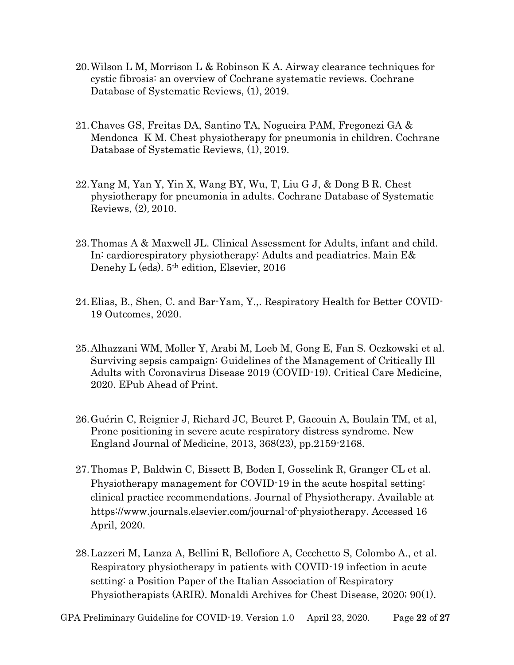- 20.Wilson L M, Morrison L & Robinson K A. Airway clearance techniques for cystic fibrosis: an overview of Cochrane systematic reviews. Cochrane Database of Systematic Reviews, (1), 2019.
- 21.Chaves GS, Freitas DA, Santino TA, Nogueira PAM, Fregonezi GA & Mendonca K M. Chest physiotherapy for pneumonia in children. Cochrane Database of Systematic Reviews, (1), 2019.
- 22.Yang M, Yan Y, Yin X, Wang BY, Wu, T, Liu G J, & Dong B R. Chest physiotherapy for pneumonia in adults. Cochrane Database of Systematic Reviews, (2), 2010.
- 23.Thomas A & Maxwell JL. Clinical Assessment for Adults, infant and child. In: cardiorespiratory physiotherapy: Adults and peadiatrics. Main E& Denehy L (eds). 5th edition, Elsevier, 2016
- 24.Elias, B., Shen, C. and Bar-Yam, Y.,. Respiratory Health for Better COVID-19 Outcomes, 2020.
- 25.Alhazzani WM, Moller Y, Arabi M, Loeb M, Gong E, Fan S. Oczkowski et al. Surviving sepsis campaign: Guidelines of the Management of Critically Ill Adults with Coronavirus Disease 2019 (COVID-19). Critical Care Medicine, 2020. EPub Ahead of Print.
- 26.Guérin C, Reignier J, Richard JC, Beuret P, Gacouin A, Boulain TM, et al, Prone positioning in severe acute respiratory distress syndrome. New England Journal of Medicine, 2013, 368(23), pp.2159-2168.
- 27.Thomas P, Baldwin C, Bissett B, Boden I, Gosselink R, Granger CL et al. Physiotherapy management for COVID-19 in the acute hospital setting: clinical practice recommendations. Journal of Physiotherapy. Available at https://www.journals.elsevier.com/journal-of-physiotherapy. Accessed 16 April, 2020.
- 28.Lazzeri M, Lanza A, Bellini R, Bellofiore A, Cecchetto S, Colombo A., et al. Respiratory physiotherapy in patients with COVID-19 infection in acute setting: a Position Paper of the Italian Association of Respiratory Physiotherapists (ARIR). Monaldi Archives for Chest Disease, 2020; 90(1).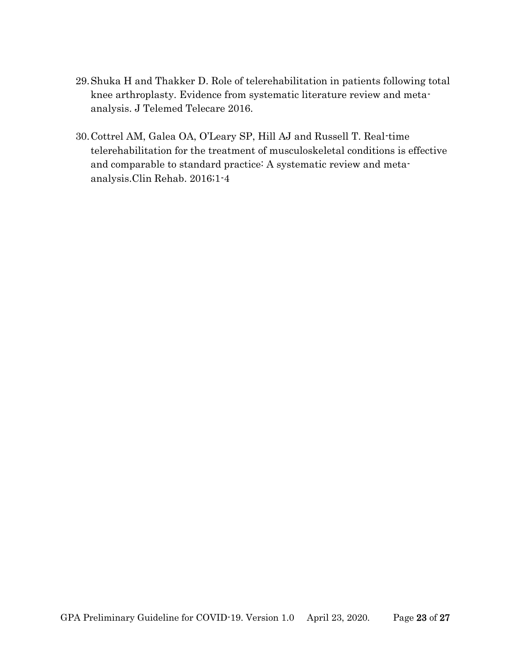- 29.Shuka H and Thakker D. Role of telerehabilitation in patients following total knee arthroplasty. Evidence from systematic literature review and metaanalysis. J Telemed Telecare 2016.
- 30.Cottrel AM, Galea OA, O'Leary SP, Hill AJ and Russell T. Real-time telerehabilitation for the treatment of musculoskeletal conditions is effective and comparable to standard practice: A systematic review and metaanalysis.Clin Rehab. 2016;1-4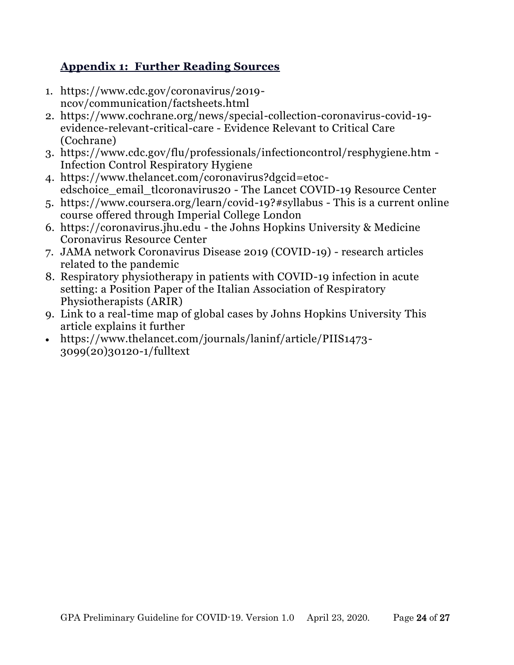# **Appendix 1: Further Reading Sources**

- 1. https://www.cdc.gov/coronavirus/2019 ncov/communication/factsheets.html
- 2. [https://www.cochrane.org/news/special-collection-coronavirus-covid-19](https://www.cochrane.org/news/special-collection-coronavirus-covid-19-evidence-relevant-critical-care) [evidence-relevant-critical-care](https://www.cochrane.org/news/special-collection-coronavirus-covid-19-evidence-relevant-critical-care) - Evidence Relevant to Critical Care (Cochrane)
- 3. <https://www.cdc.gov/flu/professionals/infectioncontrol/resphygiene.htm> Infection Control Respiratory Hygiene
- 4. [https://www.thelancet.com/coronavirus?dgcid=etoc](https://www.thelancet.com/coronavirus?dgcid=etoc-edschoice_email_tlcoronavirus20)[edschoice\\_email\\_tlcoronavirus20](https://www.thelancet.com/coronavirus?dgcid=etoc-edschoice_email_tlcoronavirus20) - The Lancet COVID-19 Resource Center
- 5. <https://www.coursera.org/learn/covid-19?#syllabus> This is a current online course offered through Imperial College London
- 6. [https://coronavirus.jhu.edu](https://coronavirus.jhu.edu/) the Johns Hopkins University & Medicine Coronavirus Resource Center
- 7. [JAMA network Coronavirus Disease 2019 \(COVID-19\)](https://jamanetwork.com/journals/jama/pages/coronavirus-alert) research articles related to the pandemic
- 8. [Respiratory physiotherapy in patients with COVID-19 infection in acute](https://www.monaldi-archives.org/index.php/macd/article/view/1285)  [setting: a Position Paper of the Italian Association of Respiratory](https://www.monaldi-archives.org/index.php/macd/article/view/1285)  [Physiotherapists \(ARIR\)](https://www.monaldi-archives.org/index.php/macd/article/view/1285)
- 9. [Link to a real-time map of global cases by Johns Hopkins University](https://www.arcgis.com/apps/opsdashboard/index.html#/bda7594740fd40299423467b48e9ecf6) This article explains it further
- [https://www.thelancet.com/journals/laninf/article/PIIS1473-](https://www.thelancet.com/journals/laninf/article/PIIS1473-3099(20)30120-1/fulltext) [3099\(20\)30120-1/fulltext](https://www.thelancet.com/journals/laninf/article/PIIS1473-3099(20)30120-1/fulltext)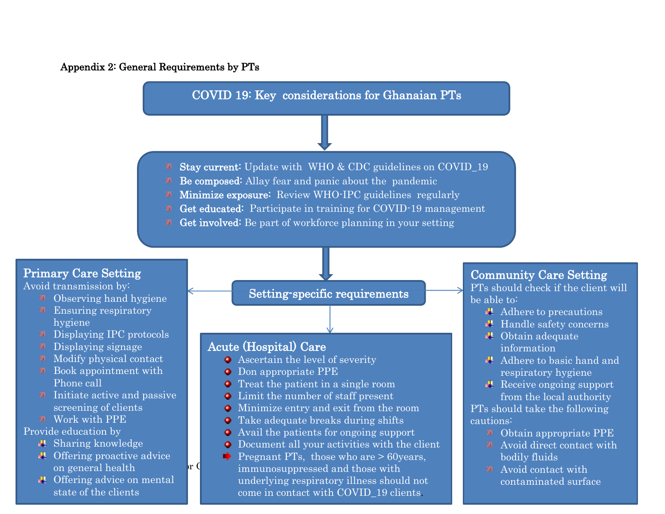## Appendix 2: General Requirements by PTs

Offering advice on mental

Initiate active and passive screening of clients

**■** Offering proactive advice on general health

state of the clients

hygiene

鱼。

圈 圖

Phone call

**Work with PPE** Provide education by

**■** Sharing knowledge



- Treat the patient in a single room
- Limit the number of staff present
- Minimize entry and exit from the room
- Take adequate breaks during shifts
- Avail the patients for ongoing support
- Document all your activities with the client
- n general health  $\mathbf{r}$  C approximation immunosuppressed and those with  $\mathbf{r}$ **Pregnant PTs, those who are > 60 years,** underlying respiratory illness should not come in contact with COVID\_19 clients.

## Community Care Setting

PTs should check if the client will be able to:

- $\triangle$  Adhere to precautions
- $\blacksquare$  Handle safety concerns
- **■** Obtain adequate information
- Adhere to basic hand and respiratory hygiene
- **■** Receive ongoing support from the local authority PTs should take the following cautions:
	- Obtain appropriate PPE
	- Avoid direct contact with bodily fluids
	- Avoid contact with contaminated surface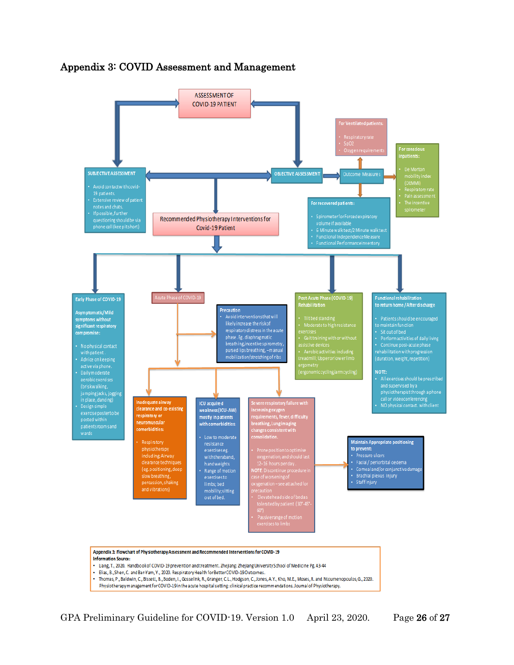

### Appendix 3: COVID Assessment and Management

GPA Preliminary Guideline for COVID-19. Version 1.0 April 23, 2020. Page 26 of 27